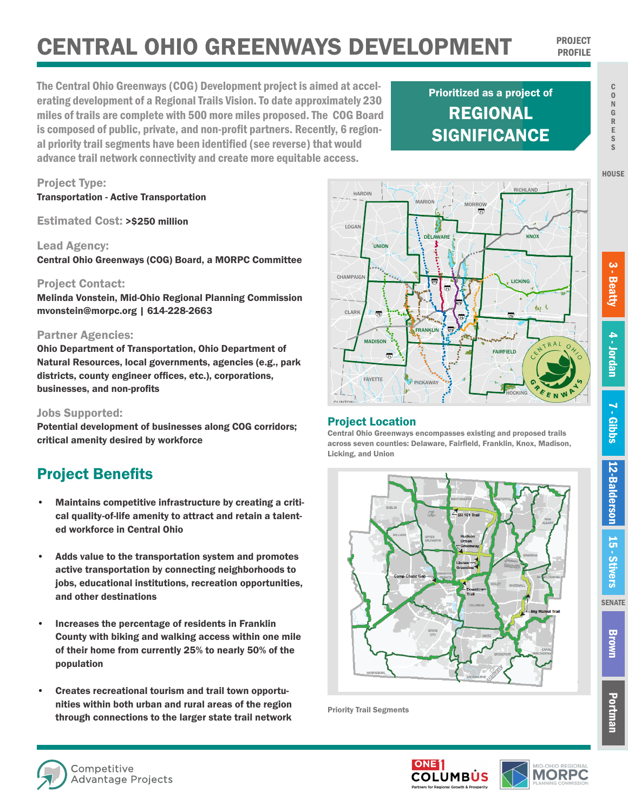# CENTRAL OHIO GREENWAYS DEVELOPMENT PROJECT

The Central Ohio Greenways (COG) Development project is aimed at accelerating development of a Regional Trails Vision. To date approximately 230 miles of trails are complete with 500 more miles proposed. The COG Board is composed of public, private, and non-profit partners. Recently, 6 regional priority trail segments have been identified (see reverse) that would advance trail network connectivity and create more equitable access.

## REGIONAL **SIGNIFICANCE** Prioritized as a project of



#### Project Contact:

Project Type:

Lead Agency:

Transportation - Active Transportation

Estimated Cost: >\$250 million

Melinda Vonstein, Mid-Ohio Regional Planning Commission mvonstein@morpc.org | 614-228-2663

Central Ohio Greenways (COG) Board, a MORPC Committee

#### Partner Agencies:

Ohio Department of Transportation, Ohio Department of Natural Resources, local governments, agencies (e.g., park districts, county engineer offices, etc.), corporations, businesses, and non-profits

#### Jobs Supported:

Potential development of businesses along COG corridors; critical amenity desired by workforce

### Project Benefits

- Maintains competitive infrastructure by creating a critical quality-of-life amenity to attract and retain a talented workforce in Central Ohio
- Adds value to the transportation system and promotes active transportation by connecting neighborhoods to jobs, educational institutions, recreation opportunities, and other destinations
- Increases the percentage of residents in Franklin County with biking and walking access within one mile of their home from currently 25% to nearly 50% of the population
- Creates recreational tourism and trail town opportunities within both urban and rural areas of the region through connections to the larger state trail network

#### Project Location

Central Ohio Greenways encompasses existing and proposed trails across seven counties: Delaware, Fairfield, Franklin, Knox, Madison, <sup>â</sup> <sup>â</sup> <sup>â</sup> <sup>â</sup><sup>â</sup> <sup>â</sup> <sup>â</sup>ââ Licking, and Union



Priority Trail Segments

**HOUSE** 

**SENATE**